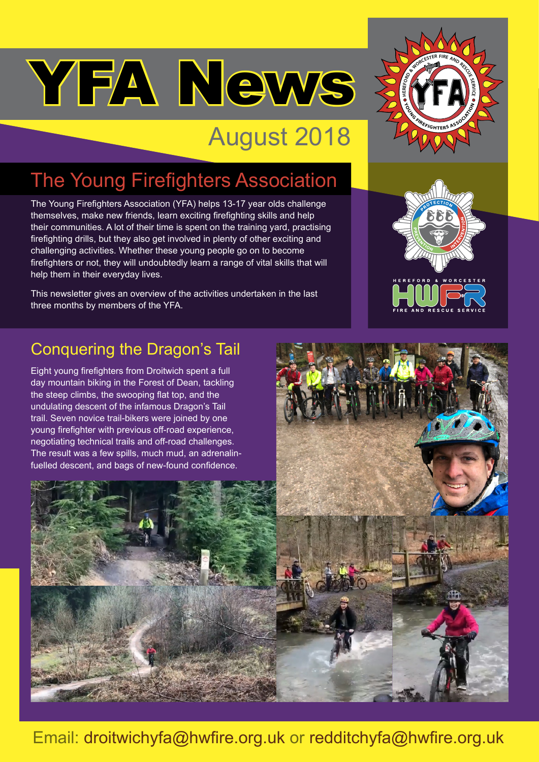# YFA News

## August 2018

### The Young Firefighters Association

The Young Firefighters Association (YFA) helps 13-17 year olds challenge themselves, make new friends, learn exciting firefighting skills and help their communities. A lot of their time is spent on the training yard, practising firefighting drills, but they also get involved in plenty of other exciting and challenging activities. Whether these young people go on to become firefighters or not, they will undoubtedly learn a range of vital skills that will help them in their everyday lives.

This newsletter gives an overview of the activities undertaken in the last three months by members of the YFA.





#### Conquering the Dragon's Tail

Eight young firefighters from Droitwich spent a full day mountain biking in the Forest of Dean, tackling the steep climbs, the swooping flat top, and the undulating descent of the infamous Dragon's Tail trail. Seven novice trail-bikers were joined by one young firefighter with previous off-road experience, negotiating technical trails and off-road challenges. The result was a few spills, much mud, an adrenalinfuelled descent, and bags of new-found confidence.



Email: droitwichyfa@hwfire.org.uk or redditchyfa@hwfire.org.uk